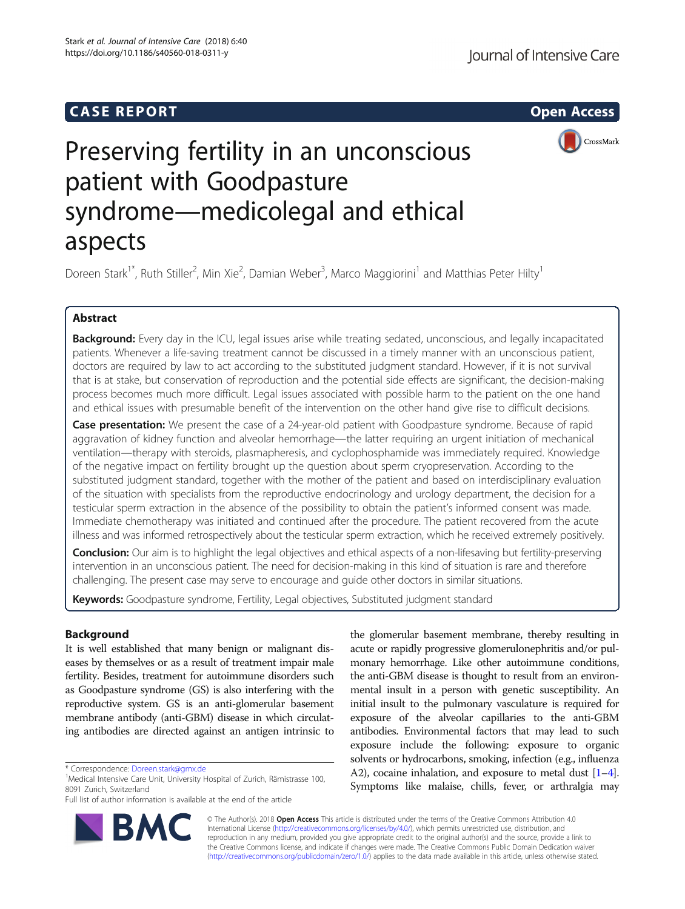# **CASE REPORT CASE REPORT**



# Preserving fertility in an unconscious patient with Goodpasture syndrome—medicolegal and ethical aspects

Doreen Stark<sup>1\*</sup>, Ruth Stiller<sup>2</sup>, Min Xie<sup>2</sup>, Damian Weber<sup>3</sup>, Marco Maggiorini<sup>1</sup> and Matthias Peter Hilty<sup>1</sup>

## Abstract

Background: Every day in the ICU, legal issues arise while treating sedated, unconscious, and legally incapacitated patients. Whenever a life-saving treatment cannot be discussed in a timely manner with an unconscious patient, doctors are required by law to act according to the substituted judgment standard. However, if it is not survival that is at stake, but conservation of reproduction and the potential side effects are significant, the decision-making process becomes much more difficult. Legal issues associated with possible harm to the patient on the one hand and ethical issues with presumable benefit of the intervention on the other hand give rise to difficult decisions.

Case presentation: We present the case of a 24-year-old patient with Goodpasture syndrome. Because of rapid aggravation of kidney function and alveolar hemorrhage—the latter requiring an urgent initiation of mechanical ventilation—therapy with steroids, plasmapheresis, and cyclophosphamide was immediately required. Knowledge of the negative impact on fertility brought up the question about sperm cryopreservation. According to the substituted judgment standard, together with the mother of the patient and based on interdisciplinary evaluation of the situation with specialists from the reproductive endocrinology and urology department, the decision for a testicular sperm extraction in the absence of the possibility to obtain the patient's informed consent was made. Immediate chemotherapy was initiated and continued after the procedure. The patient recovered from the acute illness and was informed retrospectively about the testicular sperm extraction, which he received extremely positively.

Conclusion: Our aim is to highlight the legal objectives and ethical aspects of a non-lifesaving but fertility-preserving intervention in an unconscious patient. The need for decision-making in this kind of situation is rare and therefore challenging. The present case may serve to encourage and guide other doctors in similar situations.

Keywords: Goodpasture syndrome, Fertility, Legal objectives, Substituted judgment standard

## Background

It is well established that many benign or malignant diseases by themselves or as a result of treatment impair male fertility. Besides, treatment for autoimmune disorders such as Goodpasture syndrome (GS) is also interfering with the reproductive system. GS is an anti-glomerular basement membrane antibody (anti-GBM) disease in which circulating antibodies are directed against an antigen intrinsic to

Full list of author information is available at the end of the article



the glomerular basement membrane, thereby resulting in acute or rapidly progressive glomerulonephritis and/or pulmonary hemorrhage. Like other autoimmune conditions, the anti-GBM disease is thought to result from an environmental insult in a person with genetic susceptibility. An initial insult to the pulmonary vasculature is required for exposure of the alveolar capillaries to the anti-GBM antibodies. Environmental factors that may lead to such exposure include the following: exposure to organic solvents or hydrocarbons, smoking, infection (e.g., influenza A2), cocaine inhalation, and exposure to metal dust  $[1-4]$  $[1-4]$  $[1-4]$  $[1-4]$ . Symptoms like malaise, chills, fever, or arthralgia may

© The Author(s). 2018 Open Access This article is distributed under the terms of the Creative Commons Attribution 4.0 International License [\(http://creativecommons.org/licenses/by/4.0/](http://creativecommons.org/licenses/by/4.0/)), which permits unrestricted use, distribution, and reproduction in any medium, provided you give appropriate credit to the original author(s) and the source, provide a link to the Creative Commons license, and indicate if changes were made. The Creative Commons Public Domain Dedication waiver [\(http://creativecommons.org/publicdomain/zero/1.0/](http://creativecommons.org/publicdomain/zero/1.0/)) applies to the data made available in this article, unless otherwise stated.

<sup>\*</sup> Correspondence: [Doreen.stark@gmx.de](mailto:Doreen.stark@gmx.de) <sup>1</sup>

<sup>&</sup>lt;sup>1</sup>Medical Intensive Care Unit, University Hospital of Zurich, Rämistrasse 100, 8091 Zurich, Switzerland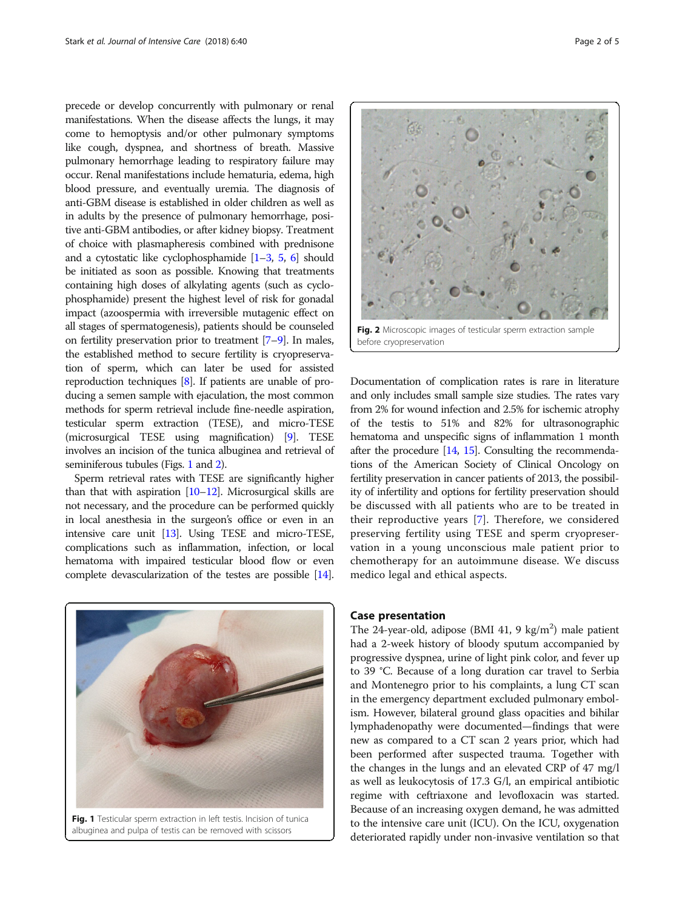<span id="page-1-0"></span>precede or develop concurrently with pulmonary or renal manifestations. When the disease affects the lungs, it may come to hemoptysis and/or other pulmonary symptoms like cough, dyspnea, and shortness of breath. Massive pulmonary hemorrhage leading to respiratory failure may occur. Renal manifestations include hematuria, edema, high blood pressure, and eventually uremia. The diagnosis of anti-GBM disease is established in older children as well as in adults by the presence of pulmonary hemorrhage, positive anti-GBM antibodies, or after kidney biopsy. Treatment of choice with plasmapheresis combined with prednisone and a cytostatic like cyclophosphamide [\[1](#page-3-0)–[3](#page-3-0), [5,](#page-3-0) [6](#page-3-0)] should be initiated as soon as possible. Knowing that treatments containing high doses of alkylating agents (such as cyclophosphamide) present the highest level of risk for gonadal impact (azoospermia with irreversible mutagenic effect on all stages of spermatogenesis), patients should be counseled on fertility preservation prior to treatment [\[7](#page-3-0)–[9](#page-4-0)]. In males, the established method to secure fertility is cryopreservation of sperm, which can later be used for assisted reproduction techniques [\[8\]](#page-3-0). If patients are unable of producing a semen sample with ejaculation, the most common methods for sperm retrieval include fine-needle aspiration, testicular sperm extraction (TESE), and micro-TESE (microsurgical TESE using magnification) [\[9\]](#page-4-0). TESE involves an incision of the tunica albuginea and retrieval of seminiferous tubules (Figs. 1 and 2).

Sperm retrieval rates with TESE are significantly higher than that with aspiration  $[10-12]$  $[10-12]$  $[10-12]$ . Microsurgical skills are not necessary, and the procedure can be performed quickly in local anesthesia in the surgeon's office or even in an intensive care unit [[13](#page-4-0)]. Using TESE and micro-TESE, complications such as inflammation, infection, or local hematoma with impaired testicular blood flow or even complete devascularization of the testes are possible [\[14](#page-4-0)].



albuginea and pulpa of testis can be removed with scissors



Documentation of complication rates is rare in literature and only includes small sample size studies. The rates vary from 2% for wound infection and 2.5% for ischemic atrophy of the testis to 51% and 82% for ultrasonographic hematoma and unspecific signs of inflammation 1 month after the procedure [\[14,](#page-4-0) [15\]](#page-4-0). Consulting the recommendations of the American Society of Clinical Oncology on fertility preservation in cancer patients of 2013, the possibility of infertility and options for fertility preservation should be discussed with all patients who are to be treated in their reproductive years [[7\]](#page-3-0). Therefore, we considered preserving fertility using TESE and sperm cryopreservation in a young unconscious male patient prior to chemotherapy for an autoimmune disease. We discuss medico legal and ethical aspects.

#### Case presentation

The 24-year-old, adipose (BMI 41, 9 kg/m<sup>2</sup>) male patient had a 2-week history of bloody sputum accompanied by progressive dyspnea, urine of light pink color, and fever up to 39 °C. Because of a long duration car travel to Serbia and Montenegro prior to his complaints, a lung CT scan in the emergency department excluded pulmonary embolism. However, bilateral ground glass opacities and bihilar lymphadenopathy were documented—findings that were new as compared to a CT scan 2 years prior, which had been performed after suspected trauma. Together with the changes in the lungs and an elevated CRP of 47 mg/l as well as leukocytosis of 17.3 G/l, an empirical antibiotic regime with ceftriaxone and levofloxacin was started. Because of an increasing oxygen demand, he was admitted to the intensive care unit (ICU). On the ICU, oxygenation deteriorated rapidly under non-invasive ventilation so that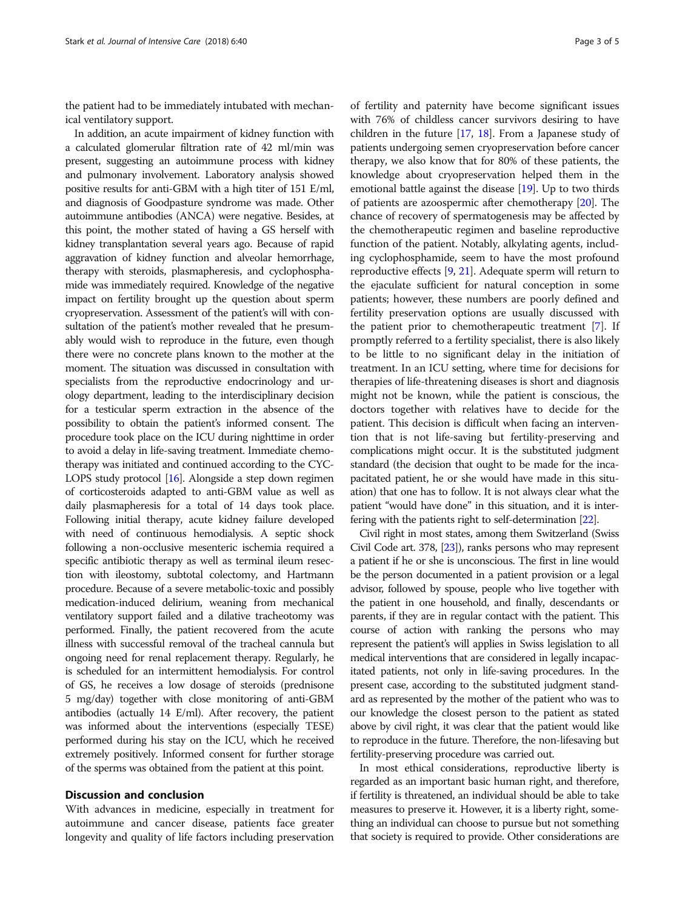the patient had to be immediately intubated with mechanical ventilatory support.

In addition, an acute impairment of kidney function with a calculated glomerular filtration rate of 42 ml/min was present, suggesting an autoimmune process with kidney and pulmonary involvement. Laboratory analysis showed positive results for anti-GBM with a high titer of 151 E/ml, and diagnosis of Goodpasture syndrome was made. Other autoimmune antibodies (ANCA) were negative. Besides, at this point, the mother stated of having a GS herself with kidney transplantation several years ago. Because of rapid aggravation of kidney function and alveolar hemorrhage, therapy with steroids, plasmapheresis, and cyclophosphamide was immediately required. Knowledge of the negative impact on fertility brought up the question about sperm cryopreservation. Assessment of the patient's will with consultation of the patient's mother revealed that he presumably would wish to reproduce in the future, even though there were no concrete plans known to the mother at the moment. The situation was discussed in consultation with specialists from the reproductive endocrinology and urology department, leading to the interdisciplinary decision for a testicular sperm extraction in the absence of the possibility to obtain the patient's informed consent. The procedure took place on the ICU during nighttime in order to avoid a delay in life-saving treatment. Immediate chemotherapy was initiated and continued according to the CYC-LOPS study protocol [\[16\]](#page-4-0). Alongside a step down regimen of corticosteroids adapted to anti-GBM value as well as daily plasmapheresis for a total of 14 days took place. Following initial therapy, acute kidney failure developed with need of continuous hemodialysis. A septic shock following a non-occlusive mesenteric ischemia required a specific antibiotic therapy as well as terminal ileum resection with ileostomy, subtotal colectomy, and Hartmann procedure. Because of a severe metabolic-toxic and possibly medication-induced delirium, weaning from mechanical ventilatory support failed and a dilative tracheotomy was performed. Finally, the patient recovered from the acute illness with successful removal of the tracheal cannula but ongoing need for renal replacement therapy. Regularly, he is scheduled for an intermittent hemodialysis. For control of GS, he receives a low dosage of steroids (prednisone 5 mg/day) together with close monitoring of anti-GBM antibodies (actually 14 E/ml). After recovery, the patient was informed about the interventions (especially TESE) performed during his stay on the ICU, which he received extremely positively. Informed consent for further storage of the sperms was obtained from the patient at this point.

#### Discussion and conclusion

With advances in medicine, especially in treatment for autoimmune and cancer disease, patients face greater longevity and quality of life factors including preservation

of fertility and paternity have become significant issues with 76% of childless cancer survivors desiring to have children in the future [\[17,](#page-4-0) [18](#page-4-0)]. From a Japanese study of patients undergoing semen cryopreservation before cancer therapy, we also know that for 80% of these patients, the knowledge about cryopreservation helped them in the emotional battle against the disease [\[19](#page-4-0)]. Up to two thirds of patients are azoospermic after chemotherapy [\[20](#page-4-0)]. The chance of recovery of spermatogenesis may be affected by the chemotherapeutic regimen and baseline reproductive function of the patient. Notably, alkylating agents, including cyclophosphamide, seem to have the most profound reproductive effects [\[9](#page-4-0), [21\]](#page-4-0). Adequate sperm will return to the ejaculate sufficient for natural conception in some patients; however, these numbers are poorly defined and fertility preservation options are usually discussed with the patient prior to chemotherapeutic treatment [\[7](#page-3-0)]. If promptly referred to a fertility specialist, there is also likely to be little to no significant delay in the initiation of treatment. In an ICU setting, where time for decisions for therapies of life-threatening diseases is short and diagnosis might not be known, while the patient is conscious, the doctors together with relatives have to decide for the patient. This decision is difficult when facing an intervention that is not life-saving but fertility-preserving and complications might occur. It is the substituted judgment standard (the decision that ought to be made for the incapacitated patient, he or she would have made in this situation) that one has to follow. It is not always clear what the patient "would have done" in this situation, and it is interfering with the patients right to self-determination [[22](#page-4-0)].

Civil right in most states, among them Switzerland (Swiss Civil Code art. 378, [\[23\]](#page-4-0)), ranks persons who may represent a patient if he or she is unconscious. The first in line would be the person documented in a patient provision or a legal advisor, followed by spouse, people who live together with the patient in one household, and finally, descendants or parents, if they are in regular contact with the patient. This course of action with ranking the persons who may represent the patient's will applies in Swiss legislation to all medical interventions that are considered in legally incapacitated patients, not only in life-saving procedures. In the present case, according to the substituted judgment standard as represented by the mother of the patient who was to our knowledge the closest person to the patient as stated above by civil right, it was clear that the patient would like to reproduce in the future. Therefore, the non-lifesaving but fertility-preserving procedure was carried out.

In most ethical considerations, reproductive liberty is regarded as an important basic human right, and therefore, if fertility is threatened, an individual should be able to take measures to preserve it. However, it is a liberty right, something an individual can choose to pursue but not something that society is required to provide. Other considerations are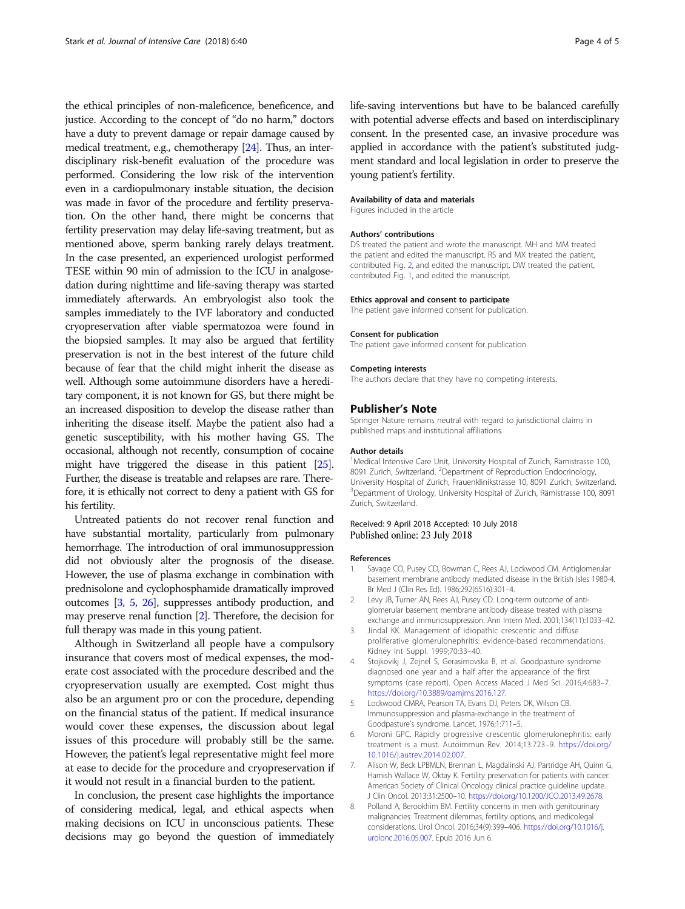<span id="page-3-0"></span>the ethical principles of non-maleficence, beneficence, and justice. According to the concept of "do no harm," doctors have a duty to prevent damage or repair damage caused by medical treatment, e.g., chemotherapy [\[24\]](#page-4-0). Thus, an interdisciplinary risk-benefit evaluation of the procedure was performed. Considering the low risk of the intervention even in a cardiopulmonary instable situation, the decision was made in favor of the procedure and fertility preservation. On the other hand, there might be concerns that fertility preservation may delay life-saving treatment, but as mentioned above, sperm banking rarely delays treatment. In the case presented, an experienced urologist performed TESE within 90 min of admission to the ICU in analgosedation during nighttime and life-saving therapy was started immediately afterwards. An embryologist also took the samples immediately to the IVF laboratory and conducted cryopreservation after viable spermatozoa were found in the biopsied samples. It may also be argued that fertility preservation is not in the best interest of the future child because of fear that the child might inherit the disease as well. Although some autoimmune disorders have a hereditary component, it is not known for GS, but there might be an increased disposition to develop the disease rather than inheriting the disease itself. Maybe the patient also had a genetic susceptibility, with his mother having GS. The occasional, although not recently, consumption of cocaine might have triggered the disease in this patient [\[25](#page-4-0)]. Further, the disease is treatable and relapses are rare. Therefore, it is ethically not correct to deny a patient with GS for his fertility.

Untreated patients do not recover renal function and have substantial mortality, particularly from pulmonary hemorrhage. The introduction of oral immunosuppression did not obviously alter the prognosis of the disease. However, the use of plasma exchange in combination with prednisolone and cyclophosphamide dramatically improved outcomes [3, 5, [26](#page-4-0)], suppresses antibody production, and may preserve renal function [2]. Therefore, the decision for full therapy was made in this young patient.

Although in Switzerland all people have a compulsory insurance that covers most of medical expenses, the moderate cost associated with the procedure described and the cryopreservation usually are exempted. Cost might thus also be an argument pro or con the procedure, depending on the financial status of the patient. If medical insurance would cover these expenses, the discussion about legal issues of this procedure will probably still be the same. However, the patient's legal representative might feel more at ease to decide for the procedure and cryopreservation if it would not result in a financial burden to the patient.

In conclusion, the present case highlights the importance of considering medical, legal, and ethical aspects when making decisions on ICU in unconscious patients. These decisions may go beyond the question of immediately life-saving interventions but have to be balanced carefully with potential adverse effects and based on interdisciplinary consent. In the presented case, an invasive procedure was applied in accordance with the patient's substituted judgment standard and local legislation in order to preserve the young patient's fertility.

#### Availability of data and materials

Figures included in the article

#### Authors' contributions

DS treated the patient and wrote the manuscript. MH and MM treated the patient and edited the manuscript. RS and MX treated the patient, contributed Fig. [2](#page-1-0), and edited the manuscript. DW treated the patient, contributed Fig. [1](#page-1-0), and edited the manuscript.

#### Ethics approval and consent to participate

The patient gave informed consent for publication.

#### Consent for publication

The patient gave informed consent for publication.

#### Competing interests

The authors declare that they have no competing interests.

#### Publisher's Note

Springer Nature remains neutral with regard to jurisdictional claims in published maps and institutional affiliations.

#### Author details

<sup>1</sup>Medical Intensive Care Unit, University Hospital of Zurich, Rämistrasse 100, 8091 Zurich, Switzerland. <sup>2</sup>Department of Reproduction Endocrinology University Hospital of Zurich, Frauenklinikstrasse 10, 8091 Zurich, Switzerland. <sup>3</sup>Department of Urology, University Hospital of Zurich, Rämistrasse 100, 8091 Zurich, Switzerland.

#### Received: 9 April 2018 Accepted: 10 July 2018 Published online: 23 July 2018

#### References

- Savage CO, Pusey CD, Bowman C, Rees AJ, Lockwood CM. Antiglomerular basement membrane antibody mediated disease in the British Isles 1980-4. Br Med J (Clin Res Ed). 1986;292(6516):301–4.
- 2. Levy JB, Turner AN, Rees AJ, Pusey CD. Long-term outcome of antiglomerular basement membrane antibody disease treated with plasma exchange and immunosuppression. Ann Intern Med. 2001;134(11):1033–42.
- 3. Jindal KK. Management of idiopathic crescentic and diffuse proliferative glomerulonephritis: evidence-based recommendations. Kidney Int Suppl. 1999;70:33–40.
- 4. Stojkovikj J, Zejnel S, Gerasimovska B, et al. Goodpasture syndrome diagnosed one year and a half after the appearance of the first symptoms (case report). Open Access Maced J Med Sci. 2016;4:683–7. <https://doi.org/10.3889/oamjms.2016.127>.
- 5. Lockwood CMRA, Pearson TA, Evans DJ, Peters DK, Wilson CB. Immunosuppression and plasma-exchange in the treatment of Goodpasture's syndrome. Lancet. 1976;1:711–5.
- 6. Moroni GPC. Rapidly progressive crescentic glomerulonephritis: early treatment is a must. Autoimmun Rev. 2014;13:723–9. [https://doi.org/](https://doi.org/10.1016/j.autrev.2014.02.007) [10.1016/j.autrev.2014.02.007.](https://doi.org/10.1016/j.autrev.2014.02.007)
- 7. Alison W, Beck LPBMLN, Brennan L, Magdalinski AJ, Partridge AH, Quinn G, Hamish Wallace W, Oktay K. Fertility preservation for patients with cancer: American Society of Clinical Oncology clinical practice guideline update. J Clin Oncol. 2013;31:2500–10. [https://doi.org/10.1200/JCO.2013.49.2678.](https://doi.org/10.1200/JCO.2013.49.2678)
- 8. Polland A, Berookhim BM. Fertility concerns in men with genitourinary malignancies: Treatment dilemmas, fertility options, and medicolegal considerations. Urol Oncol. 2016;34(9):399–406. [https://doi.org/10.1016/j.](https://doi.org/10.1016/j.urolonc.2016.05.007) [urolonc.2016.05.007.](https://doi.org/10.1016/j.urolonc.2016.05.007) Epub 2016 Jun 6.